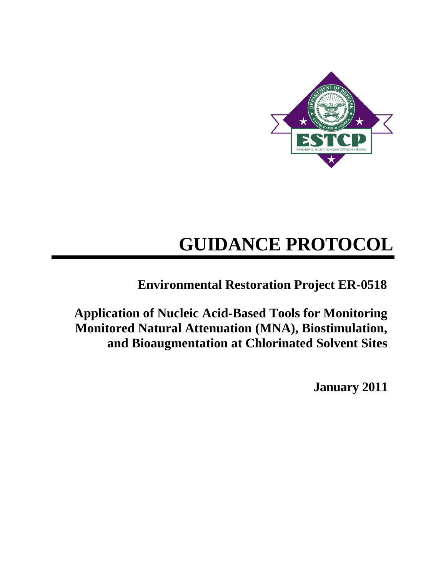

# **GUIDANCE PROTOCOL**

**Environmental Restoration Project ER-0518**

**Application of Nucleic Acid-Based Tools for Monitoring Monitored Natural Attenuation (MNA), Biostimulation, and Bioaugmentation at Chlorinated Solvent Sites**

**January 2011**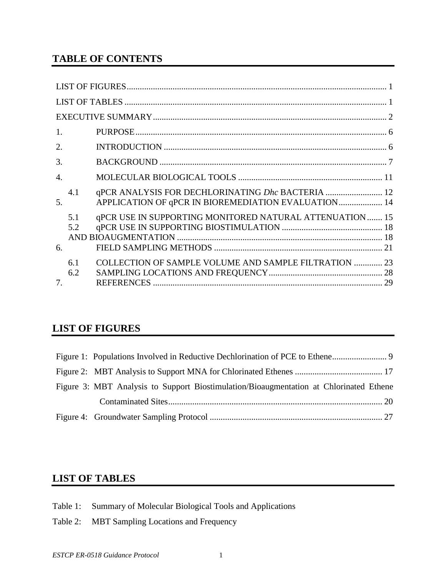# **TABLE OF CONTENTS**

| 1.               |            |                                                                                                          |  |
|------------------|------------|----------------------------------------------------------------------------------------------------------|--|
| 2.               |            |                                                                                                          |  |
| 3.               |            |                                                                                                          |  |
| $\overline{4}$ . |            |                                                                                                          |  |
| 5.               | 4.1        | qPCR ANALYSIS FOR DECHLORINATING Dhc BACTERIA  12<br>APPLICATION OF GPCR IN BIOREMEDIATION EVALUATION 14 |  |
| 6.               | 5.1<br>5.2 | qPCR USE IN SUPPORTING MONITORED NATURAL ATTENUATION 15                                                  |  |
| 7.               | 6.1<br>6.2 | COLLECTION OF SAMPLE VOLUME AND SAMPLE FILTRATION  23                                                    |  |

# <span id="page-1-0"></span>**LIST OF FIGURES**

| Figure 3: MBT Analysis to Support Biostimulation/Bioaugmentation at Chlorinated Ethene |  |
|----------------------------------------------------------------------------------------|--|
|                                                                                        |  |
|                                                                                        |  |

# <span id="page-1-1"></span>**LIST OF TABLES**

- Table 1: Summary of Molecular Biological Tools and Applications
- Table 2: MBT Sampling Locations and Frequency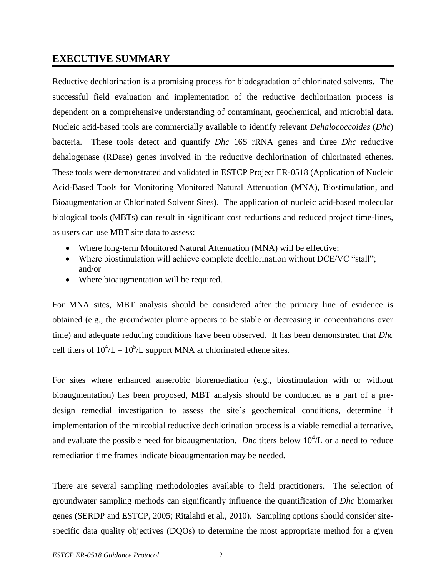## <span id="page-2-0"></span>**EXECUTIVE SUMMARY**

Reductive dechlorination is a promising process for biodegradation of chlorinated solvents. The successful field evaluation and implementation of the reductive dechlorination process is dependent on a comprehensive understanding of contaminant, geochemical, and microbial data. Nucleic acid-based tools are commercially available to identify relevant *Dehalococcoides* (*Dhc*) bacteria. These tools detect and quantify *Dhc* 16S rRNA genes and three *Dhc* reductive dehalogenase (RDase) genes involved in the reductive dechlorination of chlorinated ethenes. These tools were demonstrated and validated in ESTCP Project ER-0518 (Application of Nucleic Acid-Based Tools for Monitoring Monitored Natural Attenuation (MNA), Biostimulation, and Bioaugmentation at Chlorinated Solvent Sites). The application of nucleic acid-based molecular biological tools (MBTs) can result in significant cost reductions and reduced project time-lines, as users can use MBT site data to assess:

- Where long-term Monitored Natural Attenuation (MNA) will be effective;
- Where biostimulation will achieve complete dechlorination without DCE/VC "stall"; and/or
- Where bioaugmentation will be required.

For MNA sites, MBT analysis should be considered after the primary line of evidence is obtained (e.g., the groundwater plume appears to be stable or decreasing in concentrations over time) and adequate reducing conditions have been observed. It has been demonstrated that *Dhc* cell titers of  $10^4/L - 10^5/L$  support MNA at chlorinated ethene sites.

For sites where enhanced anaerobic bioremediation (e.g., biostimulation with or without bioaugmentation) has been proposed, MBT analysis should be conducted as a part of a predesign remedial investigation to assess the site's geochemical conditions, determine if implementation of the mircobial reductive dechlorination process is a viable remedial alternative, and evaluate the possible need for bioaugmentation. *Dhc* titers below  $10^4$ /L or a need to reduce remediation time frames indicate bioaugmentation may be needed.

There are several sampling methodologies available to field practitioners. The selection of groundwater sampling methods can significantly influence the quantification of *Dhc* biomarker genes (SERDP and ESTCP, 2005; Ritalahti et al., 2010). Sampling options should consider sitespecific data quality objectives (DQOs) to determine the most appropriate method for a given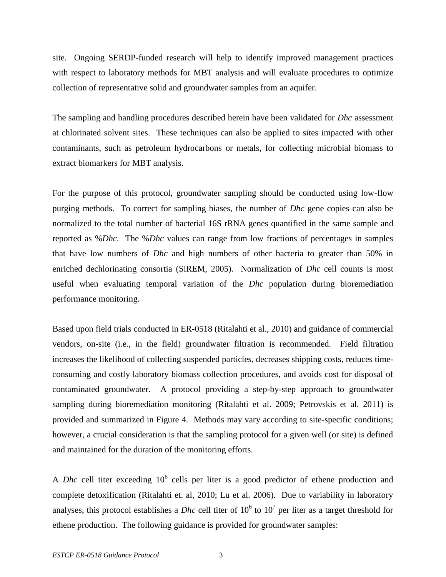site. Ongoing SERDP-funded research will help to identify improved management practices with respect to laboratory methods for MBT analysis and will evaluate procedures to optimize collection of representative solid and groundwater samples from an aquifer.

The sampling and handling procedures described herein have been validated for *Dhc* assessment at chlorinated solvent sites. These techniques can also be applied to sites impacted with other contaminants, such as petroleum hydrocarbons or metals, for collecting microbial biomass to extract biomarkers for MBT analysis.

For the purpose of this protocol, groundwater sampling should be conducted using low-flow purging methods. To correct for sampling biases, the number of *Dhc* gene copies can also be normalized to the total number of bacterial 16S rRNA genes quantified in the same sample and reported as %*Dhc*. The %*Dhc* values can range from low fractions of percentages in samples that have low numbers of *Dhc* and high numbers of other bacteria to greater than 50% in enriched dechlorinating consortia (SiREM, 2005). Normalization of *Dhc* cell counts is most useful when evaluating temporal variation of the *Dhc* population during bioremediation performance monitoring.

Based upon field trials conducted in ER-0518 (Ritalahti et al., 2010) and guidance of commercial vendors, on-site (i.e., in the field) groundwater filtration is recommended. Field filtration increases the likelihood of collecting suspended particles, decreases shipping costs, reduces timeconsuming and costly laboratory biomass collection procedures, and avoids cost for disposal of contaminated groundwater. A protocol providing a step-by-step approach to groundwater sampling during bioremediation monitoring (Ritalahti et al. 2009; Petrovskis et al. 2011) is provided and summarized in Figure 4. Methods may vary according to site-specific conditions; however, a crucial consideration is that the sampling protocol for a given well (or site) is defined and maintained for the duration of the monitoring efforts.

A *Dhc* cell titer exceeding  $10^6$  cells per liter is a good predictor of ethene production and complete detoxification (Ritalahti et. al, 2010; Lu et al. 2006). Due to variability in laboratory analyses, this protocol establishes a *Dhc* cell titer of  $10^6$  to  $10^7$  per liter as a target threshold for ethene production. The following guidance is provided for groundwater samples: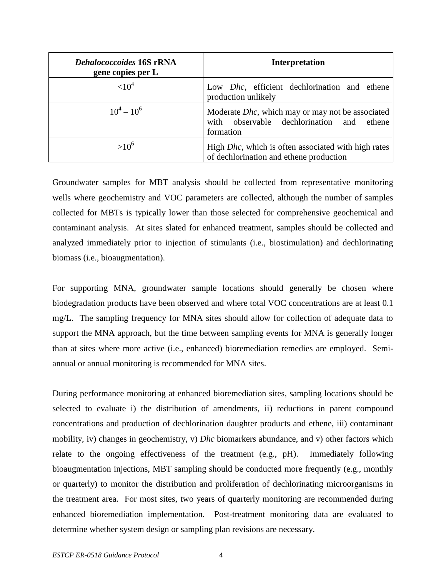| <b>Dehalococcoides 16S rRNA</b><br>gene copies per L | <b>Interpretation</b>                                                                                              |  |
|------------------------------------------------------|--------------------------------------------------------------------------------------------------------------------|--|
| ${<}10^4$                                            | Low <i>Dhc</i> , efficient dechlorination and ethene<br>production unlikely                                        |  |
| $10^4 - 10^6$                                        | Moderate <i>Dhc</i> , which may or may not be associated<br>with observable dechlorination and ethene<br>formation |  |
| $>10^{6}$                                            | High <i>Dhc</i> , which is often associated with high rates<br>of dechlorination and ethene production             |  |

Groundwater samples for MBT analysis should be collected from representative monitoring wells where geochemistry and VOC parameters are collected, although the number of samples collected for MBTs is typically lower than those selected for comprehensive geochemical and contaminant analysis. At sites slated for enhanced treatment, samples should be collected and analyzed immediately prior to injection of stimulants (i.e., biostimulation) and dechlorinating biomass (i.e., bioaugmentation).

For supporting MNA, groundwater sample locations should generally be chosen where biodegradation products have been observed and where total VOC concentrations are at least 0.1 mg/L. The sampling frequency for MNA sites should allow for collection of adequate data to support the MNA approach, but the time between sampling events for MNA is generally longer than at sites where more active (i.e., enhanced) bioremediation remedies are employed. Semiannual or annual monitoring is recommended for MNA sites.

During performance monitoring at enhanced bioremediation sites, sampling locations should be selected to evaluate i) the distribution of amendments, ii) reductions in parent compound concentrations and production of dechlorination daughter products and ethene, iii) contaminant mobility, iv) changes in geochemistry, v) *Dhc* biomarkers abundance, and v) other factors which relate to the ongoing effectiveness of the treatment (e.g., pH). Immediately following bioaugmentation injections, MBT sampling should be conducted more frequently (e.g., monthly or quarterly) to monitor the distribution and proliferation of dechlorinating microorganisms in the treatment area. For most sites, two years of quarterly monitoring are recommended during enhanced bioremediation implementation. Post-treatment monitoring data are evaluated to determine whether system design or sampling plan revisions are necessary.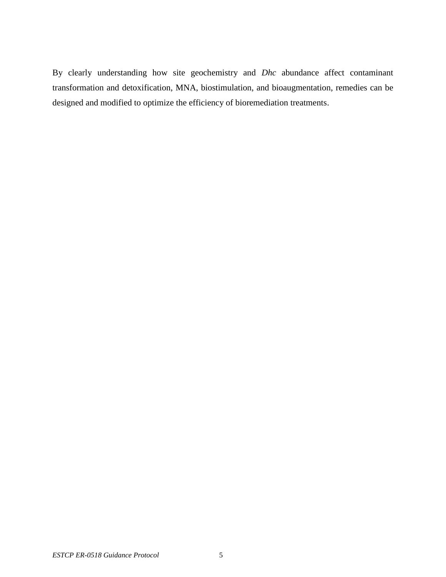By clearly understanding how site geochemistry and *Dhc* abundance affect contaminant transformation and detoxification, MNA, biostimulation, and bioaugmentation, remedies can be designed and modified to optimize the efficiency of bioremediation treatments.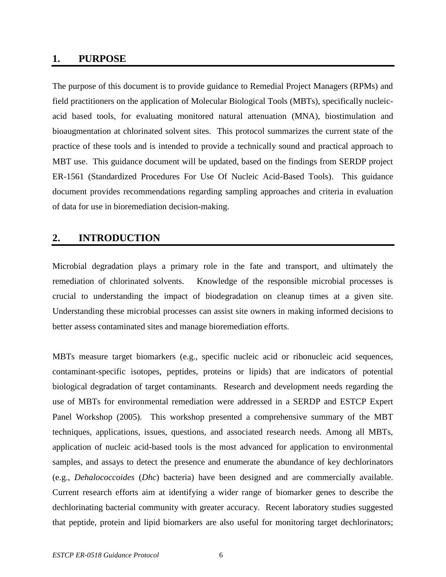## <span id="page-6-0"></span>**1. PURPOSE**

The purpose of this document is to provide guidance to Remedial Project Managers (RPMs) and field practitioners on the application of Molecular Biological Tools (MBTs), specifically nucleicacid based tools, for evaluating monitored natural attenuation (MNA), biostimulation and bioaugmentation at chlorinated solvent sites. This protocol summarizes the current state of the practice of these tools and is intended to provide a technically sound and practical approach to MBT use. This guidance document will be updated, based on the findings from SERDP project ER-1561 (Standardized Procedures For Use Of Nucleic Acid-Based Tools). This guidance document provides recommendations regarding sampling approaches and criteria in evaluation of data for use in bioremediation decision-making.

## <span id="page-6-1"></span>**2. INTRODUCTION**

Microbial degradation plays a primary role in the fate and transport, and ultimately the remediation of chlorinated solvents. Knowledge of the responsible microbial processes is crucial to understanding the impact of biodegradation on cleanup times at a given site. Understanding these microbial processes can assist site owners in making informed decisions to better assess contaminated sites and manage bioremediation efforts.

MBTs measure target biomarkers (e.g., specific nucleic acid or ribonucleic acid sequences, contaminant-specific isotopes, peptides, proteins or lipids) that are indicators of potential biological degradation of target contaminants. Research and development needs regarding the use of MBTs for environmental remediation were addressed in a SERDP and ESTCP Expert Panel Workshop (2005). This workshop presented a comprehensive summary of the MBT techniques, applications, issues, questions, and associated research needs. Among all MBTs, application of nucleic acid-based tools is the most advanced for application to environmental samples, and assays to detect the presence and enumerate the abundance of key dechlorinators (e.g., *Dehalococcoides* (*Dhc*) bacteria) have been designed and are commercially available. Current research efforts aim at identifying a wider range of biomarker genes to describe the dechlorinating bacterial community with greater accuracy. Recent laboratory studies suggested that peptide, protein and lipid biomarkers are also useful for monitoring target dechlorinators;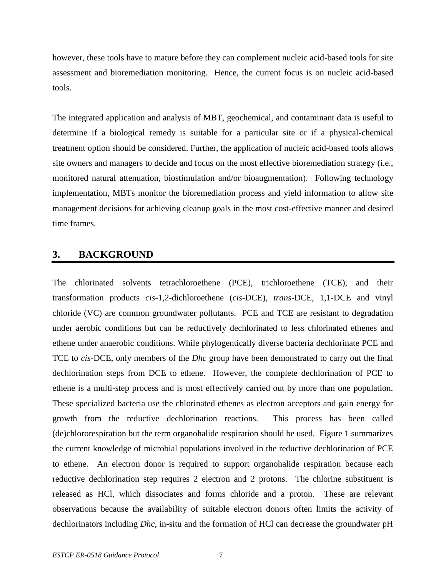however, these tools have to mature before they can complement nucleic acid-based tools for site assessment and bioremediation monitoring. Hence, the current focus is on nucleic acid-based tools.

The integrated application and analysis of MBT, geochemical, and contaminant data is useful to determine if a biological remedy is suitable for a particular site or if a physical-chemical treatment option should be considered. Further, the application of nucleic acid-based tools allows site owners and managers to decide and focus on the most effective bioremediation strategy (i.e., monitored natural attenuation, biostimulation and/or bioaugmentation). Following technology implementation, MBTs monitor the bioremediation process and yield information to allow site management decisions for achieving cleanup goals in the most cost-effective manner and desired time frames.

## <span id="page-7-0"></span>**3. BACKGROUND**

The chlorinated solvents tetrachloroethene (PCE), trichloroethene (TCE), and their transformation products *cis*-1,2-dichloroethene (*cis*-DCE), *trans*-DCE, 1,1-DCE and vinyl chloride (VC) are common groundwater pollutants. PCE and TCE are resistant to degradation under aerobic conditions but can be reductively dechlorinated to less chlorinated ethenes and ethene under anaerobic conditions. While phylogentically diverse bacteria dechlorinate PCE and TCE to *cis-*DCE, only members of the *Dhc* group have been demonstrated to carry out the final dechlorination steps from DCE to ethene. However, the complete dechlorination of PCE to ethene is a multi-step process and is most effectively carried out by more than one population. These specialized bacteria use the chlorinated ethenes as electron acceptors and gain energy for growth from the reductive dechlorination reactions. This process has been called (de)chlororespiration but the term organohalide respiration should be used. Figure 1 summarizes the current knowledge of microbial populations involved in the reductive dechlorination of PCE to ethene. An electron donor is required to support organohalide respiration because each reductive dechlorination step requires 2 electron and 2 protons. The chlorine substituent is released as HCl, which dissociates and forms chloride and a proton. These are relevant observations because the availability of suitable electron donors often limits the activity of dechlorinators including *Dhc*, in-situ and the formation of HCl can decrease the groundwater pH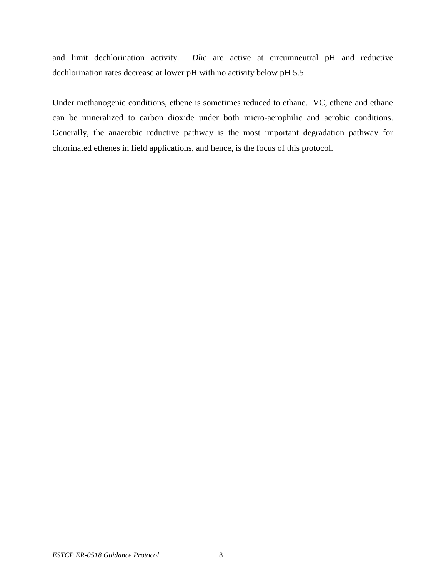and limit dechlorination activity. *Dhc* are active at circumneutral pH and reductive dechlorination rates decrease at lower pH with no activity below pH 5.5.

<span id="page-8-0"></span>Under methanogenic conditions, ethene is sometimes reduced to ethane. VC, ethene and ethane can be mineralized to carbon dioxide under both micro-aerophilic and aerobic conditions. Generally, the anaerobic reductive pathway is the most important degradation pathway for chlorinated ethenes in field applications, and hence, is the focus of this protocol.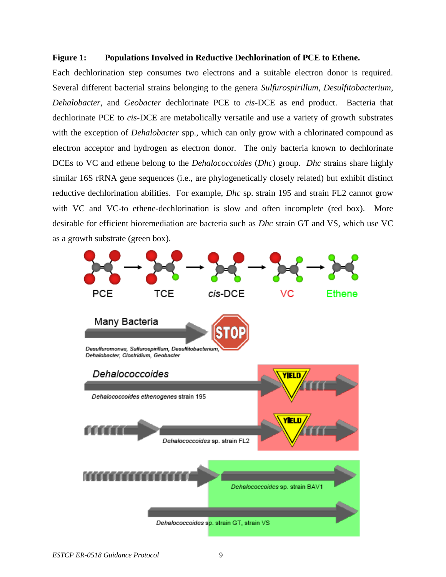#### **Figure 1: Populations Involved in Reductive Dechlorination of PCE to Ethene.**

Each dechlorination step consumes two electrons and a suitable electron donor is required. Several different bacterial strains belonging to the genera *Sulfurospirillum*, *Desulfitobacterium*, *Dehalobacter*, and *Geobacter* dechlorinate PCE to *cis*-DCE as end product. Bacteria that dechlorinate PCE to *cis*-DCE are metabolically versatile and use a variety of growth substrates with the exception of *Dehalobacter* spp., which can only grow with a chlorinated compound as electron acceptor and hydrogen as electron donor. The only bacteria known to dechlorinate DCEs to VC and ethene belong to the *Dehalococcoides* (*Dhc*) group. *Dhc* strains share highly similar 16S rRNA gene sequences (i.e., are phylogenetically closely related) but exhibit distinct reductive dechlorination abilities. For example, *Dhc* sp. strain 195 and strain FL2 cannot grow with VC and VC-to ethene-dechlorination is slow and often incomplete (red box). More desirable for efficient bioremediation are bacteria such as *Dhc* strain GT and VS, which use VC as a growth substrate (green box).

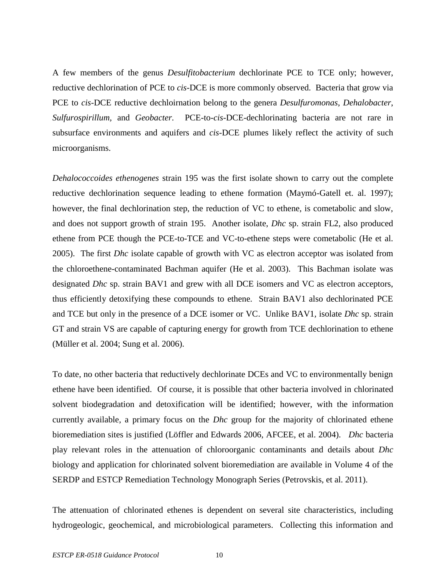A few members of the genus *Desulfitobacterium* dechlorinate PCE to TCE only; however, reductive dechlorination of PCE to *cis*-DCE is more commonly observed. Bacteria that grow via PCE to *cis*-DCE reductive dechloirnation belong to the genera *Desulfuromonas*, *Dehalobacter*, *Sulfurospirillum,* and *Geobacter.* PCE-to-*cis*-DCE-dechlorinating bacteria are not rare in subsurface environments and aquifers and *cis*-DCE plumes likely reflect the activity of such microorganisms.

*Dehalococcoides ethenogenes* strain 195 was the first isolate shown to carry out the complete reductive dechlorination sequence leading to ethene formation (Maymó-Gatell et. al. 1997); however, the final dechlorination step, the reduction of VC to ethene, is cometabolic and slow, and does not support growth of strain 195. Another isolate, *Dhc* sp. strain FL2, also produced ethene from PCE though the PCE-to-TCE and VC-to-ethene steps were cometabolic (He et al. 2005). The first *Dhc* isolate capable of growth with VC as electron acceptor was isolated from the chloroethene-contaminated Bachman aquifer (He et al. 2003). This Bachman isolate was designated *Dhc* sp. strain BAV1 and grew with all DCE isomers and VC as electron acceptors, thus efficiently detoxifying these compounds to ethene. Strain BAV1 also dechlorinated PCE and TCE but only in the presence of a DCE isomer or VC. Unlike BAV1*,* isolate *Dhc* sp. strain GT and strain VS are capable of capturing energy for growth from TCE dechlorination to ethene (Müller et al. 2004; Sung et al. 2006).

To date, no other bacteria that reductively dechlorinate DCEs and VC to environmentally benign ethene have been identified. Of course, it is possible that other bacteria involved in chlorinated solvent biodegradation and detoxification will be identified; however, with the information currently available, a primary focus on the *Dhc* group for the majority of chlorinated ethene bioremediation sites is justified (Löffler and Edwards 2006, AFCEE, et al. 2004). *Dhc* bacteria play relevant roles in the attenuation of chloroorganic contaminants and details about *Dhc* biology and application for chlorinated solvent bioremediation are available in Volume 4 of the SERDP and ESTCP Remediation Technology Monograph Series (Petrovskis, et al. 2011).

The attenuation of chlorinated ethenes is dependent on several site characteristics, including hydrogeologic, geochemical, and microbiological parameters. Collecting this information and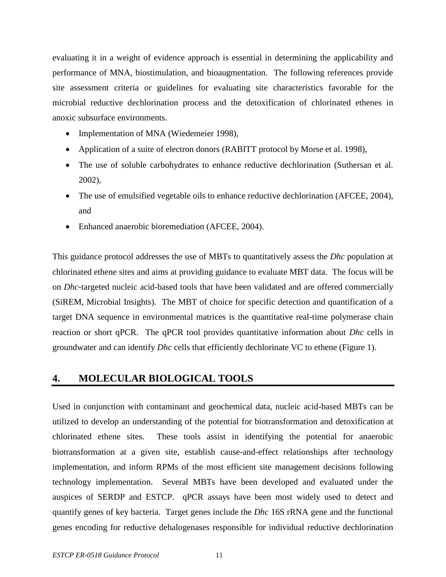evaluating it in a weight of evidence approach is essential in determining the applicability and performance of MNA, biostimulation, and bioaugmentation. The following references provide site assessment criteria or guidelines for evaluating site characteristics favorable for the microbial reductive dechlorination process and the detoxification of chlorinated ethenes in anoxic subsurface environments.

- Implementation of MNA (Wiedemeier 1998),
- Application of a suite of electron donors (RABITT protocol by Morse et al. 1998),
- The use of soluble carbohydrates to enhance reductive dechlorination (Suthersan et al. 2002),
- The use of emulsified vegetable oils to enhance reductive dechlorination (AFCEE, 2004), and
- Enhanced anaerobic bioremediation (AFCEE, 2004).

This guidance protocol addresses the use of MBTs to quantitatively assess the *Dhc* population at chlorinated ethene sites and aims at providing guidance to evaluate MBT data. The focus will be on *Dhc*-targeted nucleic acid-based tools that have been validated and are offered commercially (SiREM, Microbial Insights). The MBT of choice for specific detection and quantification of a target DNA sequence in environmental matrices is the quantitative real-time polymerase chain reaction or short qPCR. The qPCR tool provides quantitative information about *Dhc* cells in groundwater and can identify *Dhc* cells that efficiently dechlorinate VC to ethene (Figure 1).

## <span id="page-11-0"></span>**4. MOLECULAR BIOLOGICAL TOOLS**

Used in conjunction with contaminant and geochemical data, nucleic acid-based MBTs can be utilized to develop an understanding of the potential for biotransformation and detoxification at chlorinated ethene sites. These tools assist in identifying the potential for anaerobic biotransformation at a given site, establish cause-and-effect relationships after technology implementation, and inform RPMs of the most efficient site management decisions following technology implementation. Several MBTs have been developed and evaluated under the auspices of SERDP and ESTCP. qPCR assays have been most widely used to detect and quantify genes of key bacteria. Target genes include the *Dhc* 16S rRNA gene and the functional genes encoding for reductive dehalogenases responsible for individual reductive dechlorination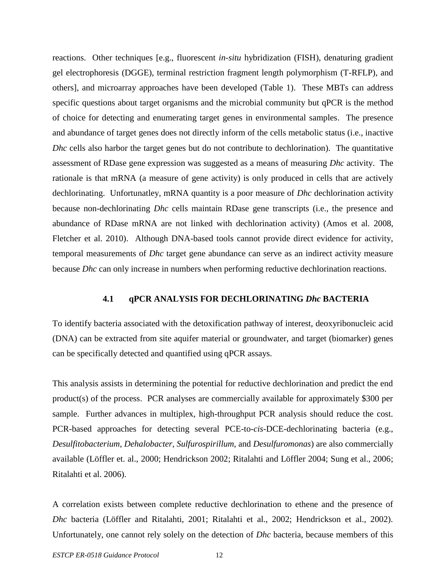reactions. Other techniques [e.g., fluorescent *in-situ* hybridization (FISH), denaturing gradient gel electrophoresis (DGGE), terminal restriction fragment length polymorphism (T-RFLP), and others], and microarray approaches have been developed (Table 1). These MBTs can address specific questions about target organisms and the microbial community but qPCR is the method of choice for detecting and enumerating target genes in environmental samples. The presence and abundance of target genes does not directly inform of the cells metabolic status (i.e., inactive *Dhc* cells also harbor the target genes but do not contribute to dechlorination). The quantitative assessment of RDase gene expression was suggested as a means of measuring *Dhc* activity. The rationale is that mRNA (a measure of gene activity) is only produced in cells that are actively dechlorinating. Unfortunatley, mRNA quantity is a poor measure of *Dhc* dechlorination activity because non-dechlorinating *Dhc* cells maintain RDase gene transcripts (i.e., the presence and abundance of RDase mRNA are not linked with dechlorination activity) (Amos et al. 2008, Fletcher et al. 2010). Although DNA-based tools cannot provide direct evidence for activity, temporal measurements of *Dhc* target gene abundance can serve as an indirect activity measure because *Dhc* can only increase in numbers when performing reductive dechlorination reactions.

#### **4.1 qPCR ANALYSIS FOR DECHLORINATING** *Dhc* **BACTERIA**

<span id="page-12-0"></span>To identify bacteria associated with the detoxification pathway of interest, deoxyribonucleic acid (DNA) can be extracted from site aquifer material or groundwater, and target (biomarker) genes can be specifically detected and quantified using qPCR assays.

This analysis assists in determining the potential for reductive dechlorination and predict the end product(s) of the process. PCR analyses are commercially available for approximately \$300 per sample. Further advances in multiplex, high-throughput PCR analysis should reduce the cost. PCR-based approaches for detecting several PCE-to-*cis*-DCE-dechlorinating bacteria (e.g., *Desulfitobacterium*, *Dehalobacter*, *Sulfurospirillum*, and *Desulfuromonas*) are also commercially available (Löffler et. al., 2000; Hendrickson 2002; Ritalahti and Löffler 2004; Sung et al., 2006; Ritalahti et al. 2006).

A correlation exists between complete reductive dechlorination to ethene and the presence of *Dhc* bacteria (Löffler and Ritalahti, 2001; Ritalahti et al., 2002; Hendrickson et al., 2002). Unfortunately, one cannot rely solely on the detection of *Dhc* bacteria, because members of this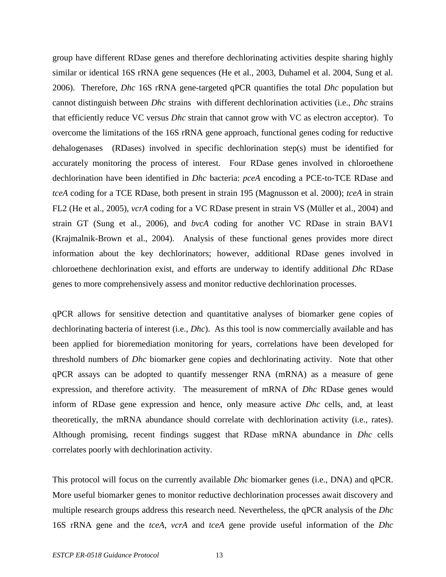group have different RDase genes and therefore dechlorinating activities despite sharing highly similar or identical 16S rRNA gene sequences (He et al., 2003, Duhamel et al. 2004, Sung et al. 2006). Therefore, *Dhc* 16S rRNA gene-targeted qPCR quantifies the total *Dhc* population but cannot distinguish between *Dhc* strains with different dechlorination activities (i.e., *Dhc* strains that efficiently reduce VC versus *Dhc* strain that cannot grow with VC as electron acceptor). To overcome the limitations of the 16S rRNA gene approach, functional genes coding for reductive dehalogenases (RDases) involved in specific dechlorination step(s) must be identified for accurately monitoring the process of interest. Four RDase genes involved in chloroethene dechlorination have been identified in *Dhc* bacteria: *pceA* encoding a PCE-to-TCE RDase and *tceA* coding for a TCE RDase, both present in strain 195 (Magnusson et al. 2000); *tceA* in strain FL2 (He et al., 2005), *vcrA* coding for a VC RDase present in strain VS (Müller et al., 2004) and strain GT (Sung et al., 2006), and *bvcA* coding for another VC RDase in strain BAV1 (Krajmalnik-Brown et al., 2004). Analysis of these functional genes provides more direct information about the key dechlorinators; however, additional RDase genes involved in chloroethene dechlorination exist, and efforts are underway to identify additional *Dhc* RDase genes to more comprehensively assess and monitor reductive dechlorination processes.

qPCR allows for sensitive detection and quantitative analyses of biomarker gene copies of dechlorinating bacteria of interest (i.e., *Dhc*). As this tool is now commercially available and has been applied for bioremediation monitoring for years, correlations have been developed for threshold numbers of *Dhc* biomarker gene copies and dechlorinating activity. Note that other qPCR assays can be adopted to quantify messenger RNA (mRNA) as a measure of gene expression, and therefore activity. The measurement of mRNA of *Dhc* RDase genes would inform of RDase gene expression and hence, only measure active *Dhc* cells, and, at least theoretically, the mRNA abundance should correlate with dechlorination activity (i.e., rates). Although promising, recent findings suggest that RDase mRNA abundance in *Dhc* cells correlates poorly with dechlorination activity.

This protocol will focus on the currently available *Dhc* biomarker genes (i.e., DNA) and qPCR. More useful biomarker genes to monitor reductive dechlorination processes await discovery and multiple research groups address this research need. Nevertheless, the qPCR analysis of the *Dhc* 16S rRNA gene and the *tceA*, *vcrA* and *tceA* gene provide useful information of the *Dhc*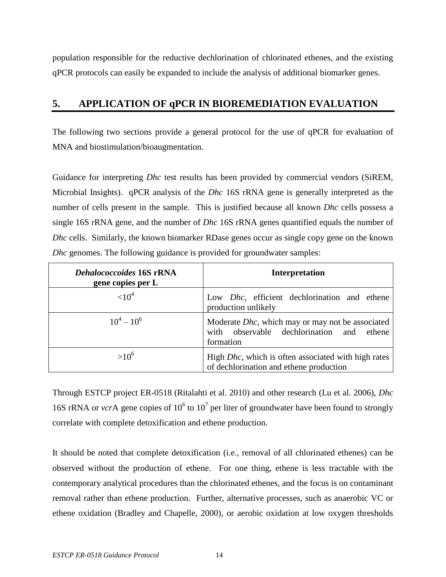population responsible for the reductive dechlorination of chlorinated ethenes, and the existing qPCR protocols can easily be expanded to include the analysis of additional biomarker genes.

## <span id="page-14-0"></span>**5. APPLICATION OF qPCR IN BIOREMEDIATION EVALUATION**

The following two sections provide a general protocol for the use of qPCR for evaluation of MNA and biostimulation/bioaugmentation.

Guidance for interpreting *Dhc* test results has been provided by commercial vendors (SiREM, Microbial Insights). qPCR analysis of the *Dhc* 16S rRNA gene is generally interpreted as the number of cells present in the sample. This is justified because all known *Dhc* cells possess a single 16S rRNA gene, and the number of *Dhc* 16S rRNA genes quantified equals the number of *Dhc* cells. Similarly, the known biomarker RDase genes occur as single copy gene on the known *Dhc* genomes. The following guidance is provided for groundwater samples:

| <b>Dehalococcoides 16S rRNA</b><br>gene copies per L | <b>Interpretation</b>                                                                                              |  |
|------------------------------------------------------|--------------------------------------------------------------------------------------------------------------------|--|
| ${<}10^4$                                            | Low <i>Dhc</i> , efficient dechlorination and ethene<br>production unlikely                                        |  |
| $10^4 - 10^6$                                        | Moderate <i>Dhc</i> , which may or may not be associated<br>with observable dechlorination and ethene<br>formation |  |
| $>10^{6}$                                            | High <i>Dhc</i> , which is often associated with high rates<br>of dechlorination and ethene production             |  |

Through ESTCP project ER-0518 (Ritalahti et al. 2010) and other research (Lu et al. 2006), *Dhc* 16S rRNA or *vcr*A gene copies of  $10^6$  to  $10^7$  per liter of groundwater have been found to strongly correlate with complete detoxification and ethene production.

It should be noted that complete detoxification (i.e., removal of all chlorinated ethenes) can be observed without the production of ethene. For one thing, ethene is less tractable with the contemporary analytical procedures than the chlorinated ethenes, and the focus is on contaminant removal rather than ethene production. Further, alternative processes, such as anaerobic VC or ethene oxidation (Bradley and Chapelle, 2000), or aerobic oxidation at low oxygen thresholds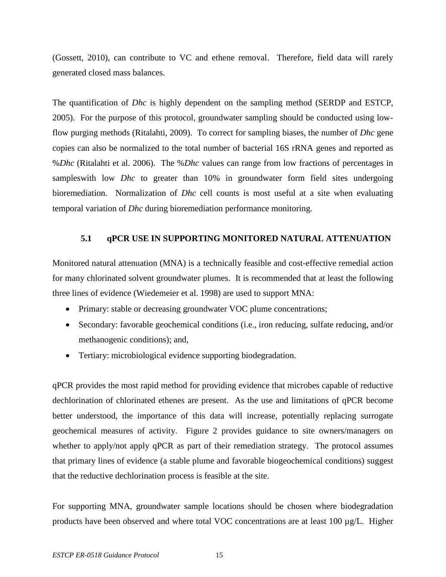(Gossett, 2010), can contribute to VC and ethene removal. Therefore, field data will rarely generated closed mass balances.

The quantification of *Dhc* is highly dependent on the sampling method (SERDP and ESTCP, 2005). For the purpose of this protocol, groundwater sampling should be conducted using lowflow purging methods (Ritalahti, 2009). To correct for sampling biases, the number of *Dhc* gene copies can also be normalized to the total number of bacterial 16S rRNA genes and reported as %*Dhc* (Ritalahti et al. 2006). The %*Dhc* values can range from low fractions of percentages in sampleswith low *Dhc* to greater than 10% in groundwater form field sites undergoing bioremediation. Normalization of *Dhc* cell counts is most useful at a site when evaluating temporal variation of *Dhc* during bioremediation performance monitoring.

## **5.1 qPCR USE IN SUPPORTING MONITORED NATURAL ATTENUATION**

<span id="page-15-0"></span>Monitored natural attenuation (MNA) is a technically feasible and cost-effective remedial action for many chlorinated solvent groundwater plumes. It is recommended that at least the following three lines of evidence (Wiedemeier et al. 1998) are used to support MNA:

- Primary: stable or decreasing groundwater VOC plume concentrations;
- Secondary: favorable geochemical conditions (i.e., iron reducing, sulfate reducing, and/or methanogenic conditions); and,
- Tertiary: microbiological evidence supporting biodegradation.

qPCR provides the most rapid method for providing evidence that microbes capable of reductive dechlorination of chlorinated ethenes are present. As the use and limitations of qPCR become better understood, the importance of this data will increase, potentially replacing surrogate geochemical measures of activity. Figure 2 provides guidance to site owners/managers on whether to apply/not apply qPCR as part of their remediation strategy. The protocol assumes that primary lines of evidence (a stable plume and favorable biogeochemical conditions) suggest that the reductive dechlorination process is feasible at the site.

For supporting MNA, groundwater sample locations should be chosen where biodegradation products have been observed and where total VOC concentrations are at least 100 µg/L. Higher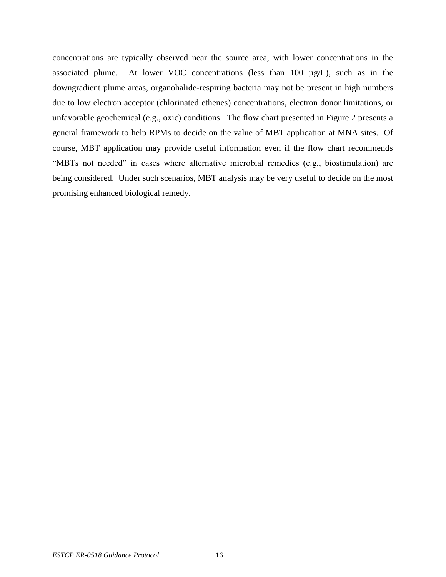<span id="page-16-0"></span>concentrations are typically observed near the source area, with lower concentrations in the associated plume. At lower VOC concentrations (less than 100 µg/L), such as in the downgradient plume areas, organohalide-respiring bacteria may not be present in high numbers due to low electron acceptor (chlorinated ethenes) concentrations, electron donor limitations, or unfavorable geochemical (e.g., oxic) conditions. The flow chart presented in Figure 2 presents a general framework to help RPMs to decide on the value of MBT application at MNA sites. Of course, MBT application may provide useful information even if the flow chart recommends "MBTs not needed" in cases where alternative microbial remedies (e.g., biostimulation) are being considered. Under such scenarios, MBT analysis may be very useful to decide on the most promising enhanced biological remedy.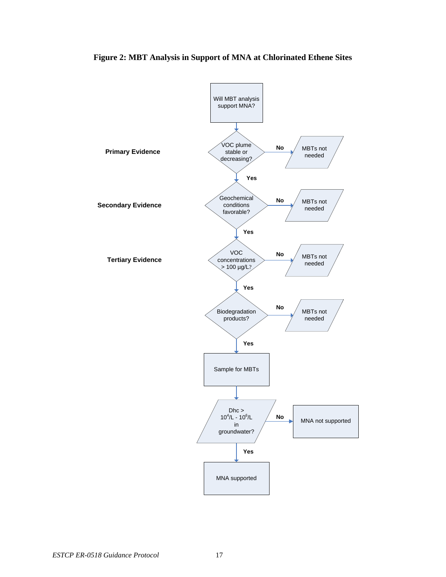

**Figure 2: MBT Analysis in Support of MNA at Chlorinated Ethene Sites**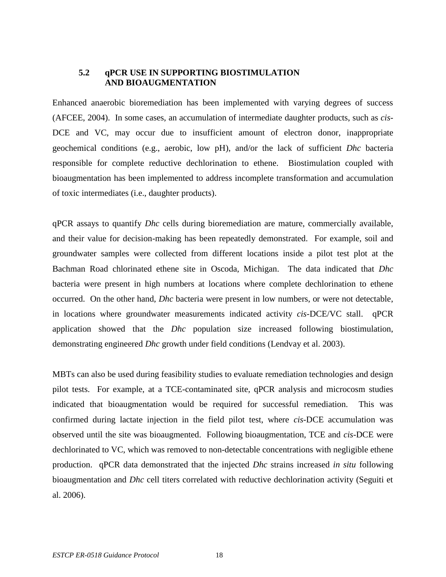## <span id="page-18-1"></span><span id="page-18-0"></span>**5.2 qPCR USE IN SUPPORTING BIOSTIMULATION AND BIOAUGMENTATION**

Enhanced anaerobic bioremediation has been implemented with varying degrees of success (AFCEE, 2004). In some cases, an accumulation of intermediate daughter products, such as *cis*-DCE and VC, may occur due to insufficient amount of electron donor, inappropriate geochemical conditions (e.g., aerobic, low pH), and/or the lack of sufficient *Dhc* bacteria responsible for complete reductive dechlorination to ethene. Biostimulation coupled with bioaugmentation has been implemented to address incomplete transformation and accumulation of toxic intermediates (i.e., daughter products).

qPCR assays to quantify *Dhc* cells during bioremediation are mature, commercially available, and their value for decision-making has been repeatedly demonstrated. For example, soil and groundwater samples were collected from different locations inside a pilot test plot at the Bachman Road chlorinated ethene site in Oscoda, Michigan. The data indicated that *Dhc* bacteria were present in high numbers at locations where complete dechlorination to ethene occurred. On the other hand, *Dhc* bacteria were present in low numbers, or were not detectable, in locations where groundwater measurements indicated activity *cis*-DCE/VC stall. qPCR application showed that the *Dhc* population size increased following biostimulation, demonstrating engineered *Dhc* growth under field conditions (Lendvay et al. 2003).

MBTs can also be used during feasibility studies to evaluate remediation technologies and design pilot tests. For example, at a TCE-contaminated site, qPCR analysis and microcosm studies indicated that bioaugmentation would be required for successful remediation. This was confirmed during lactate injection in the field pilot test, where *cis*-DCE accumulation was observed until the site was bioaugmented. Following bioaugmentation, TCE and *cis*-DCE were dechlorinated to VC, which was removed to non-detectable concentrations with negligible ethene production. qPCR data demonstrated that the injected *Dhc* strains increased *in situ* following bioaugmentation and *Dhc* cell titers correlated with reductive dechlorination activity (Seguiti et al. 2006).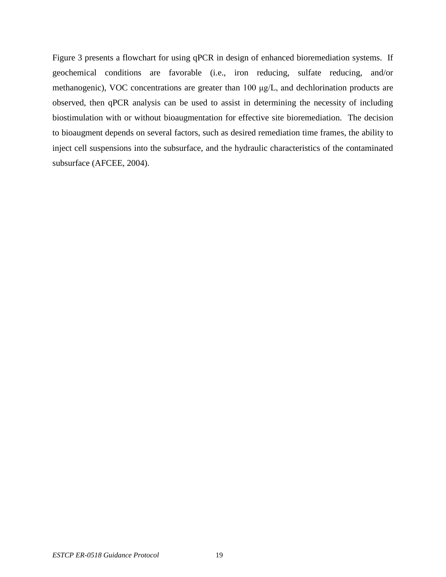<span id="page-19-0"></span>Figure 3 presents a flowchart for using qPCR in design of enhanced bioremediation systems. If geochemical conditions are favorable (i.e., iron reducing, sulfate reducing, and/or methanogenic), VOC concentrations are greater than 100 μg/L, and dechlorination products are observed, then qPCR analysis can be used to assist in determining the necessity of including biostimulation with or without bioaugmentation for effective site bioremediation. The decision to bioaugment depends on several factors, such as desired remediation time frames, the ability to inject cell suspensions into the subsurface, and the hydraulic characteristics of the contaminated subsurface (AFCEE, 2004).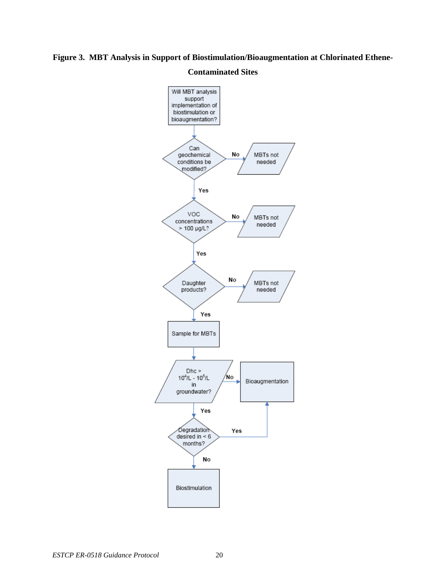## **Figure 3. MBT Analysis in Support of Biostimulation/Bioaugmentation at Chlorinated Ethene-**

## Will MBT analysis support implementation of biostimulation or bioaugmentation? Can No geochemical MBTs not conditions be needed modified? Yes voc No MBTs not concentrations needed  $> 100$  µg/L? Yes No Daughter<br>products? MBTs not needed Yes Sample for MBTs  $Dhc$  $10^4$ /L -  $10^5$ /L No Bioaugmentation in groundwater? Yes Degradation Yes desired in  $< 6$ months? No Biostimulation

## **Contaminated Sites**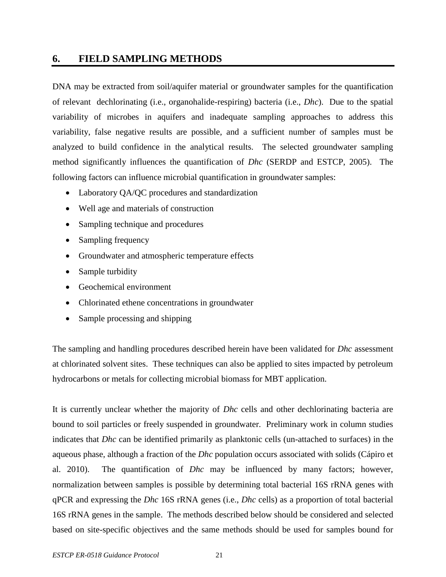## <span id="page-21-0"></span>**6. FIELD SAMPLING METHODS**

DNA may be extracted from soil/aquifer material or groundwater samples for the quantification of relevant dechlorinating (i.e., organohalide-respiring) bacteria (i.e., *Dhc*). Due to the spatial variability of microbes in aquifers and inadequate sampling approaches to address this variability, false negative results are possible, and a sufficient number of samples must be analyzed to build confidence in the analytical results. The selected groundwater sampling method significantly influences the quantification of *Dhc* (SERDP and ESTCP, 2005). The following factors can influence microbial quantification in groundwater samples:

- Laboratory QA/QC procedures and standardization
- Well age and materials of construction
- Sampling technique and procedures
- Sampling frequency
- Groundwater and atmospheric temperature effects
- Sample turbidity
- Geochemical environment
- Chlorinated ethene concentrations in groundwater
- Sample processing and shipping

The sampling and handling procedures described herein have been validated for *Dhc* assessment at chlorinated solvent sites. These techniques can also be applied to sites impacted by petroleum hydrocarbons or metals for collecting microbial biomass for MBT application.

It is currently unclear whether the majority of *Dhc* cells and other dechlorinating bacteria are bound to soil particles or freely suspended in groundwater. Preliminary work in column studies indicates that *Dhc* can be identified primarily as planktonic cells (un-attached to surfaces) in the aqueous phase, although a fraction of the *Dhc* population occurs associated with solids (Cápiro et al. 2010). The quantification of *Dhc* may be influenced by many factors; however, normalization between samples is possible by determining total bacterial 16S rRNA genes with qPCR and expressing the *Dhc* 16S rRNA genes (i.e., *Dhc* cells) as a proportion of total bacterial 16S rRNA genes in the sample. The methods described below should be considered and selected based on site-specific objectives and the same methods should be used for samples bound for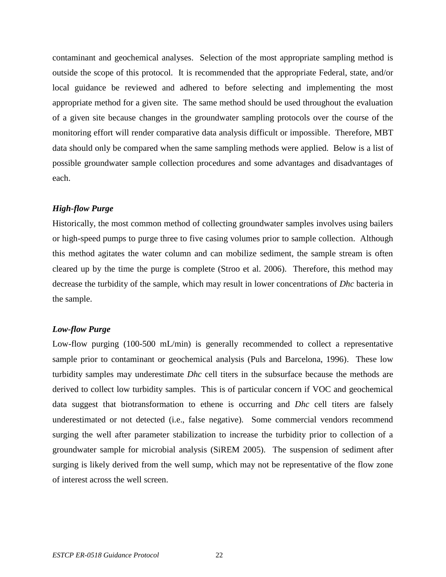contaminant and geochemical analyses. Selection of the most appropriate sampling method is outside the scope of this protocol. It is recommended that the appropriate Federal, state, and/or local guidance be reviewed and adhered to before selecting and implementing the most appropriate method for a given site. The same method should be used throughout the evaluation of a given site because changes in the groundwater sampling protocols over the course of the monitoring effort will render comparative data analysis difficult or impossible. Therefore, MBT data should only be compared when the same sampling methods were applied. Below is a list of possible groundwater sample collection procedures and some advantages and disadvantages of each.

## *High-flow Purge*

Historically, the most common method of collecting groundwater samples involves using bailers or high-speed pumps to purge three to five casing volumes prior to sample collection. Although this method agitates the water column and can mobilize sediment, the sample stream is often cleared up by the time the purge is complete (Stroo et al. 2006). Therefore, this method may decrease the turbidity of the sample, which may result in lower concentrations of *Dhc* bacteria in the sample.

## *Low-flow Purge*

Low-flow purging (100-500 mL/min) is generally recommended to collect a representative sample prior to contaminant or geochemical analysis (Puls and Barcelona, 1996). These low turbidity samples may underestimate *Dhc* cell titers in the subsurface because the methods are derived to collect low turbidity samples. This is of particular concern if VOC and geochemical data suggest that biotransformation to ethene is occurring and *Dhc* cell titers are falsely underestimated or not detected (i.e., false negative). Some commercial vendors recommend surging the well after parameter stabilization to increase the turbidity prior to collection of a groundwater sample for microbial analysis (SiREM 2005). The suspension of sediment after surging is likely derived from the well sump, which may not be representative of the flow zone of interest across the well screen.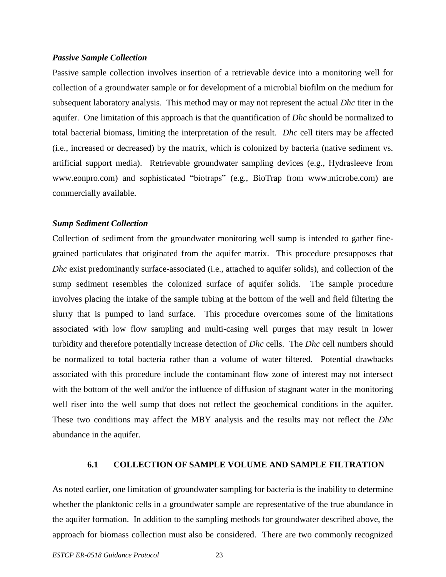#### *Passive Sample Collection*

Passive sample collection involves insertion of a retrievable device into a monitoring well for collection of a groundwater sample or for development of a microbial biofilm on the medium for subsequent laboratory analysis. This method may or may not represent the actual *Dhc* titer in the aquifer. One limitation of this approach is that the quantification of *Dhc* should be normalized to total bacterial biomass, limiting the interpretation of the result. *Dhc* cell titers may be affected (i.e., increased or decreased) by the matrix, which is colonized by bacteria (native sediment vs. artificial support media). Retrievable groundwater sampling devices (e.g., Hydrasleeve from www.eonpro.com) and sophisticated "biotraps" (e.g., BioTrap from [www.microbe.com\)](http://www.microbe.com/) are commercially available.

#### *Sump Sediment Collection*

Collection of sediment from the groundwater monitoring well sump is intended to gather finegrained particulates that originated from the aquifer matrix. This procedure presupposes that *Dhc* exist predominantly surface-associated (i.e., attached to aquifer solids), and collection of the sump sediment resembles the colonized surface of aquifer solids. The sample procedure involves placing the intake of the sample tubing at the bottom of the well and field filtering the slurry that is pumped to land surface. This procedure overcomes some of the limitations associated with low flow sampling and multi-casing well purges that may result in lower turbidity and therefore potentially increase detection of *Dhc* cells. The *Dhc* cell numbers should be normalized to total bacteria rather than a volume of water filtered. Potential drawbacks associated with this procedure include the contaminant flow zone of interest may not intersect with the bottom of the well and/or the influence of diffusion of stagnant water in the monitoring well riser into the well sump that does not reflect the geochemical conditions in the aquifer. These two conditions may affect the MBY analysis and the results may not reflect the *Dhc* abundance in the aquifer.

## **6.1 COLLECTION OF SAMPLE VOLUME AND SAMPLE FILTRATION**

<span id="page-23-0"></span>As noted earlier, one limitation of groundwater sampling for bacteria is the inability to determine whether the planktonic cells in a groundwater sample are representative of the true abundance in the aquifer formation. In addition to the sampling methods for groundwater described above, the approach for biomass collection must also be considered. There are two commonly recognized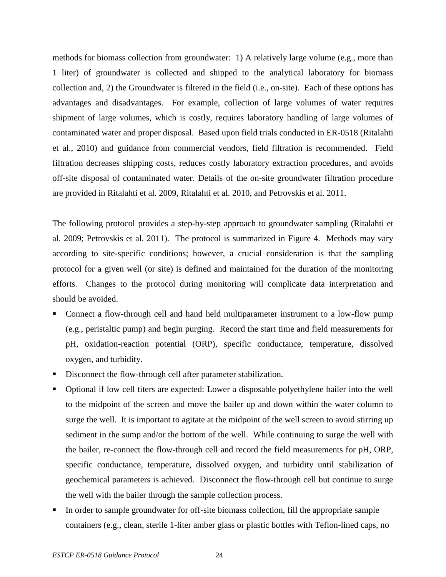methods for biomass collection from groundwater: 1) A relatively large volume (e.g., more than 1 liter) of groundwater is collected and shipped to the analytical laboratory for biomass collection and, 2) the Groundwater is filtered in the field (i.e., on-site). Each of these options has advantages and disadvantages. For example, collection of large volumes of water requires shipment of large volumes, which is costly, requires laboratory handling of large volumes of contaminated water and proper disposal. Based upon field trials conducted in ER-0518 (Ritalahti et al., 2010) and guidance from commercial vendors, field filtration is recommended. Field filtration decreases shipping costs, reduces costly laboratory extraction procedures, and avoids off-site disposal of contaminated water. Details of the on-site groundwater filtration procedure are provided in Ritalahti et al. 2009, Ritalahti et al. 2010, and Petrovskis et al. 2011.

The following protocol provides a step-by-step approach to groundwater sampling (Ritalahti et al. 2009; Petrovskis et al. 2011). The protocol is summarized in Figure 4. Methods may vary according to site-specific conditions; however, a crucial consideration is that the sampling protocol for a given well (or site) is defined and maintained for the duration of the monitoring efforts. Changes to the protocol during monitoring will complicate data interpretation and should be avoided.

- Connect a flow-through cell and hand held multiparameter instrument to a low-flow pump (e.g., peristaltic pump) and begin purging. Record the start time and field measurements for pH, oxidation-reaction potential (ORP), specific conductance, temperature, dissolved oxygen, and turbidity.
- Disconnect the flow-through cell after parameter stabilization.
- Optional if low cell titers are expected: Lower a disposable polyethylene bailer into the well to the midpoint of the screen and move the bailer up and down within the water column to surge the well. It is important to agitate at the midpoint of the well screen to avoid stirring up sediment in the sump and/or the bottom of the well. While continuing to surge the well with the bailer, re-connect the flow-through cell and record the field measurements for pH, ORP, specific conductance, temperature, dissolved oxygen, and turbidity until stabilization of geochemical parameters is achieved. Disconnect the flow-through cell but continue to surge the well with the bailer through the sample collection process.
- In order to sample groundwater for off-site biomass collection, fill the appropriate sample containers (e.g., clean, sterile 1-liter amber glass or plastic bottles with Teflon-lined caps, no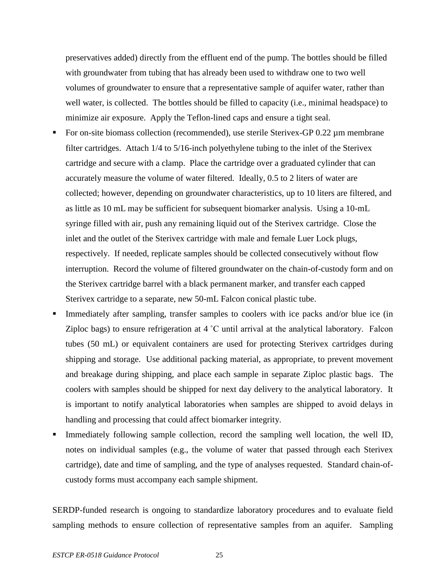preservatives added) directly from the effluent end of the pump. The bottles should be filled with groundwater from tubing that has already been used to withdraw one to two well volumes of groundwater to ensure that a representative sample of aquifer water, rather than well water, is collected. The bottles should be filled to capacity (i.e., minimal headspace) to minimize air exposure. Apply the Teflon-lined caps and ensure a tight seal.

- For on-site biomass collection (recommended), use sterile Sterivex-GP 0.22 µm membrane filter cartridges. Attach 1/4 to 5/16-inch polyethylene tubing to the inlet of the Sterivex cartridge and secure with a clamp. Place the cartridge over a graduated cylinder that can accurately measure the volume of water filtered. Ideally, 0.5 to 2 liters of water are collected; however, depending on groundwater characteristics, up to 10 liters are filtered, and as little as 10 mL may be sufficient for subsequent biomarker analysis. Using a 10-mL syringe filled with air, push any remaining liquid out of the Sterivex cartridge. Close the inlet and the outlet of the Sterivex cartridge with male and female Luer Lock plugs, respectively. If needed, replicate samples should be collected consecutively without flow interruption. Record the volume of filtered groundwater on the chain-of-custody form and on the Sterivex cartridge barrel with a black permanent marker, and transfer each capped Sterivex cartridge to a separate, new 50-mL Falcon conical plastic tube.
- Immediately after sampling, transfer samples to coolers with ice packs and/or blue ice (in Ziploc bags) to ensure refrigeration at 4 ˚C until arrival at the analytical laboratory. Falcon tubes (50 mL) or equivalent containers are used for protecting Sterivex cartridges during shipping and storage. Use additional packing material, as appropriate, to prevent movement and breakage during shipping, and place each sample in separate Ziploc plastic bags. The coolers with samples should be shipped for next day delivery to the analytical laboratory. It is important to notify analytical laboratories when samples are shipped to avoid delays in handling and processing that could affect biomarker integrity.
- Immediately following sample collection, record the sampling well location, the well ID, notes on individual samples (e.g., the volume of water that passed through each Sterivex cartridge), date and time of sampling, and the type of analyses requested. Standard chain-ofcustody forms must accompany each sample shipment.

SERDP-funded research is ongoing to standardize laboratory procedures and to evaluate field sampling methods to ensure collection of representative samples from an aquifer. Sampling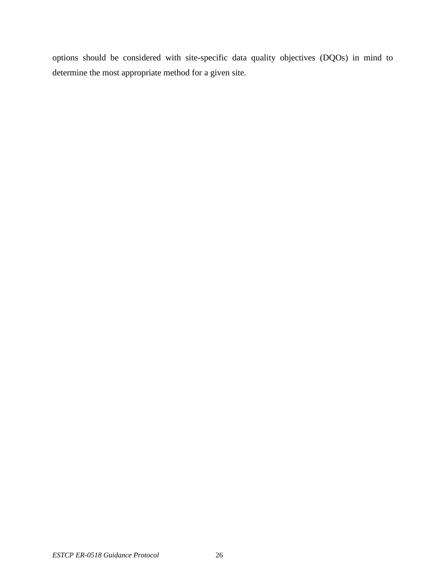options should be considered with site-specific data quality objectives (DQOs) in mind to determine the most appropriate method for a given site.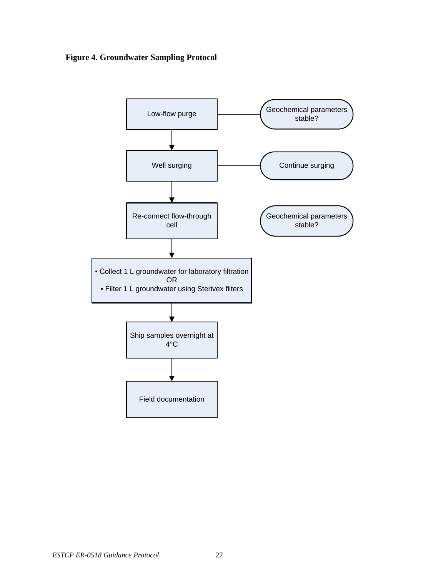<span id="page-27-0"></span>**Figure 4. Groundwater Sampling Protocol**

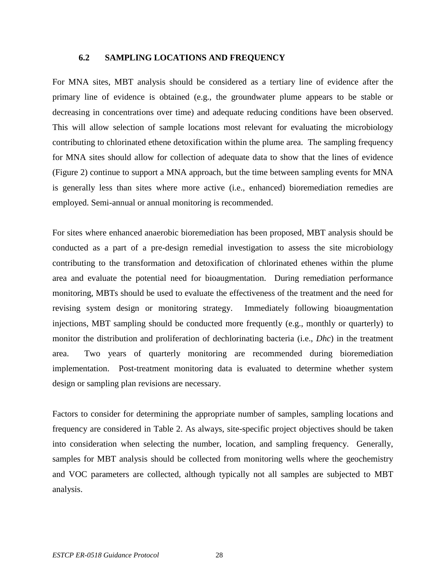## **6.2 SAMPLING LOCATIONS AND FREQUENCY**

<span id="page-28-0"></span>For MNA sites, MBT analysis should be considered as a tertiary line of evidence after the primary line of evidence is obtained (e.g., the groundwater plume appears to be stable or decreasing in concentrations over time) and adequate reducing conditions have been observed. This will allow selection of sample locations most relevant for evaluating the microbiology contributing to chlorinated ethene detoxification within the plume area. The sampling frequency for MNA sites should allow for collection of adequate data to show that the lines of evidence (Figure 2) continue to support a MNA approach, but the time between sampling events for MNA is generally less than sites where more active (i.e., enhanced) bioremediation remedies are employed. Semi-annual or annual monitoring is recommended.

For sites where enhanced anaerobic bioremediation has been proposed, MBT analysis should be conducted as a part of a pre-design remedial investigation to assess the site microbiology contributing to the transformation and detoxification of chlorinated ethenes within the plume area and evaluate the potential need for bioaugmentation. During remediation performance monitoring, MBTs should be used to evaluate the effectiveness of the treatment and the need for revising system design or monitoring strategy. Immediately following bioaugmentation injections, MBT sampling should be conducted more frequently (e.g., monthly or quarterly) to monitor the distribution and proliferation of dechlorinating bacteria (i.e., *Dhc*) in the treatment area. Two years of quarterly monitoring are recommended during bioremediation implementation. Post-treatment monitoring data is evaluated to determine whether system design or sampling plan revisions are necessary.

Factors to consider for determining the appropriate number of samples, sampling locations and frequency are considered in Table 2. As always, site-specific project objectives should be taken into consideration when selecting the number, location, and sampling frequency. Generally, samples for MBT analysis should be collected from monitoring wells where the geochemistry and VOC parameters are collected, although typically not all samples are subjected to MBT analysis.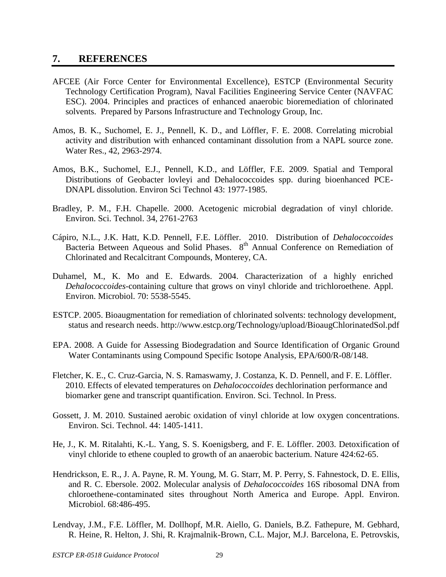## <span id="page-29-0"></span>**7. REFERENCES**

- AFCEE (Air Force Center for Environmental Excellence), ESTCP (Environmental Security Technology Certification Program), Naval Facilities Engineering Service Center (NAVFAC ESC). 2004. Principles and practices of enhanced anaerobic bioremediation of chlorinated solvents. Prepared by Parsons Infrastructure and Technology Group, Inc.
- Amos, B. K., Suchomel, E. J., Pennell, K. D., and Löffler, F. E. 2008. Correlating microbial activity and distribution with enhanced contaminant dissolution from a NAPL source zone. Water Res., 42, 2963-2974.
- Amos, B.K., Suchomel, E.J., Pennell, K.D., and Löffler, F.E. 2009. Spatial and Temporal Distributions of Geobacter lovleyi and Dehalococcoides spp. during bioenhanced PCE-DNAPL dissolution. Environ Sci Technol 43: 1977-1985.
- Bradley, P. M., F.H. Chapelle. 2000. Acetogenic microbial degradation of vinyl chloride. Environ. Sci. Technol. 34, 2761-2763
- Cápiro, N.L., J.K. Hatt, K.D. Pennell, F.E. Löffler. 2010. Distribution of *Dehalococcoides* Bacteria Between Aqueous and Solid Phases. 8<sup>th</sup> Annual Conference on Remediation of Chlorinated and Recalcitrant Compounds, Monterey, CA.
- Duhamel, M., K. Mo and E. Edwards. 2004. Characterization of a highly enriched *Dehalococcoides*-containing culture that grows on vinyl chloride and trichloroethene. Appl. Environ. Microbiol. 70: 5538-5545.
- ESTCP. 2005. Bioaugmentation for remediation of chlorinated solvents: technology development, status and research needs. http://www.estcp.org/Technology/upload/BioaugChlorinatedSol.pdf
- EPA. 2008. A Guide for Assessing Biodegradation and Source Identification of Organic Ground Water Contaminants using Compound Specific Isotope Analysis, EPA/600/R-08/148.
- Fletcher, K. E., C. Cruz-Garcia, N. S. Ramaswamy, J. Costanza, K. D. Pennell, and F. E. Löffler. 2010. Effects of elevated temperatures on *Dehalococcoides* dechlorination performance and biomarker gene and transcript quantification. Environ. Sci. Technol. In Press.
- Gossett, J. M. 2010. Sustained aerobic oxidation of vinyl chloride at low oxygen concentrations. Environ. Sci. Technol. 44: 1405-1411.
- He, J., K. M. Ritalahti, K.-L. Yang, S. S. Koenigsberg, and F. E. Löffler. 2003. Detoxification of vinyl chloride to ethene coupled to growth of an anaerobic bacterium. Nature 424:62-65.
- Hendrickson, E. R., J. A. Payne, R. M. Young, M. G. Starr, M. P. Perry, S. Fahnestock, D. E. Ellis, and R. C. Ebersole. 2002. Molecular analysis of *Dehalococcoides* 16S ribosomal DNA from chloroethene-contaminated sites throughout North America and Europe. Appl. Environ. Microbiol. 68:486-495.
- Lendvay, J.M., F.E. Löffler, M. Dollhopf, M.R. Aiello, G. Daniels, B.Z. Fathepure, M. Gebhard, R. Heine, R. Helton, J. Shi, R. Krajmalnik-Brown, C.L. Major, M.J. Barcelona, E. Petrovskis,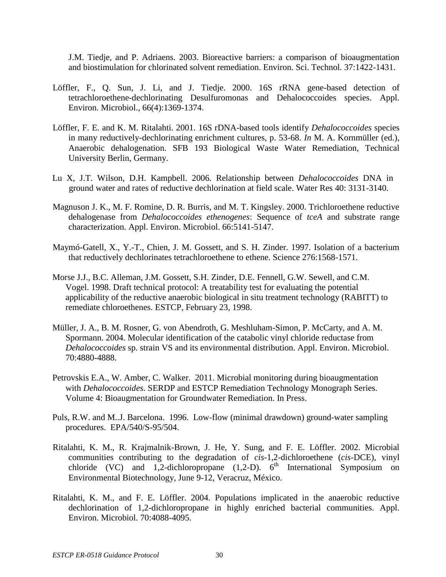J.M. Tiedje, and P. Adriaens. 2003. Bioreactive barriers: a comparison of bioaugmentation and biostimulation for chlorinated solvent remediation. Environ. Sci. Technol. 37:1422-1431.

- Löffler, F., Q. Sun, J. Li, and J. Tiedje. 2000. 16S rRNA gene-based detection of tetrachloroethene-dechlorinating Desulfuromonas and Dehalococcoides species. Appl. Environ. Microbiol., 66(4):1369-1374.
- Löffler, F. E. and K. M. Ritalahti. 2001. 16S rDNA-based tools identify *Dehalococcoides* species in many reductively-dechlorinating enrichment cultures, p. 53-68. *In* M. A. Kornmüller (ed.), Anaerobic dehalogenation. SFB 193 Biological Waste Water Remediation, Technical University Berlin, Germany.
- Lu X, J.T. Wilson, D.H. Kampbell. 2006. Relationship between *Dehalococcoides* DNA in ground water and rates of reductive dechlorination at field scale. Water Res 40: 3131-3140.
- Magnuson J. K., M. F. Romine, D. R. Burris, and M. T. Kingsley. 2000. Trichloroethene reductive dehalogenase from *Dehalococcoides ethenogenes*: Sequence of *tceA* and substrate range characterization. Appl. Environ. Microbiol. 66:5141-5147.
- Maymó-Gatell, X., Y.-T., Chien, J. M. Gossett, and S. H. Zinder. 1997. Isolation of a bacterium that reductively dechlorinates tetrachloroethene to ethene. Science 276:1568-1571.
- Morse J.J., B.C. Alleman, J.M. Gossett, S.H. Zinder, D.E. Fennell, G.W. Sewell, and C.M. Vogel. 1998. Draft technical protocol: A treatability test for evaluating the potential applicability of the reductive anaerobic biological in situ treatment technology (RABITT) to remediate chloroethenes. ESTCP, February 23, 1998.
- Müller, J. A., B. M. Rosner, G. von Abendroth, G. Meshluham-Simon, P. McCarty, and A. M. Spormann. 2004. Molecular identification of the catabolic vinyl chloride reductase from *Dehalococcoides* sp. strain VS and its environmental distribution. Appl. Environ. Microbiol. 70:4880-4888.
- Petrovskis E.A., W. Amber, C. Walker. 2011. Microbial monitoring during bioaugmentation with *Dehalococcoides*. SERDP and ESTCP Remediation Technology Monograph Series. Volume 4: Bioaugmentation for Groundwater Remediation. In Press.
- Puls, R.W. and M..J. Barcelona. 1996. Low-flow (minimal drawdown) ground-water sampling procedures. EPA/540/S-95/504.
- Ritalahti, K. M., R. Krajmalnik-Brown, J. He, Y. Sung, and F. E. Löffler. 2002. Microbial communities contributing to the degradation of *cis*-1,2-dichloroethene (*cis*-DCE), vinyl chloride (VC) and 1,2-dichloropropane  $(1,2-D)$ .  $6<sup>th</sup>$  International Symposium on Environmental Biotechnology, June 9-12, Veracruz, México.
- Ritalahti, K. M., and F. E. Löffler. 2004. Populations implicated in the anaerobic reductive dechlorination of 1,2-dichloropropane in highly enriched bacterial communities. Appl. Environ. Microbiol. 70:4088-4095.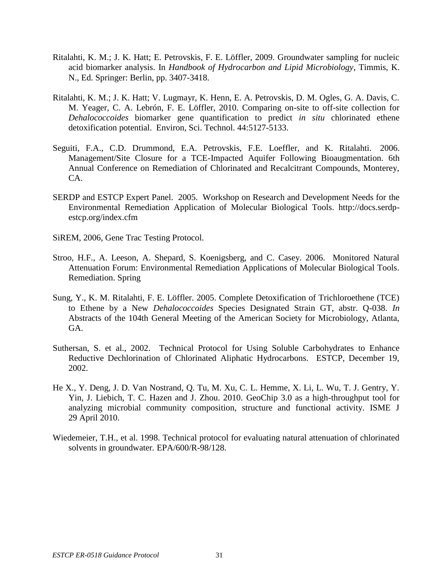- Ritalahti, K. M.; J. K. Hatt; E. Petrovskis, F. E. Löffler, 2009. Groundwater sampling for nucleic acid biomarker analysis. In *Handbook of Hydrocarbon and Lipid Microbiology*, Timmis, K. N., Ed. Springer: Berlin, pp. 3407-3418.
- Ritalahti, K. M.; J. K. Hatt; V. Lugmayr, K. Henn, E. A. Petrovskis, D. M. Ogles, G. A. Davis, C. M. Yeager, C. A. Lebrón, F. E. Löffler, 2010. Comparing on-site to off-site collection for *Dehalococcoides* biomarker gene quantification to predict *in situ* chlorinated ethene detoxification potential. Environ, Sci. Technol. 44:5127-5133.
- Seguiti, F.A., C.D. Drummond, E.A. Petrovskis, F.E. Loeffler, and K. Ritalahti. 2006. Management/Site Closure for a TCE-Impacted Aquifer Following Bioaugmentation. 6th Annual Conference on Remediation of Chlorinated and Recalcitrant Compounds, Monterey, CA.
- SERDP and ESTCP Expert Panel. 2005. Workshop on Research and Development Needs for the Environmental Remediation Application of Molecular Biological Tools. http://docs.serdpestcp.org/index.cfm
- SiREM, 2006, Gene Trac Testing Protocol.
- Stroo, H.F., A. Leeson, A. Shepard, S. Koenigsberg, and C. Casey. 2006. Monitored Natural Attenuation Forum: Environmental Remediation Applications of Molecular Biological Tools. Remediation. Spring
- Sung, Y., K. M. Ritalahti, F. E. Löffler. 2005. Complete Detoxification of Trichloroethene (TCE) to Ethene by a New *Dehalococcoides* Species Designated Strain GT, abstr. Q-038. *In* Abstracts of the 104th General Meeting of the American Society for Microbiology, Atlanta, GA.
- Suthersan, S. et al., 2002. Technical Protocol for Using Soluble Carbohydrates to Enhance Reductive Dechlorination of Chlorinated Aliphatic Hydrocarbons. ESTCP, December 19, 2002.
- He X., Y. Deng, J. D. Van Nostrand, Q. Tu, M. Xu, C. L. Hemme, X. Li, L. Wu, T. J. Gentry, Y. Yin, J. Liebich, T. C. Hazen and J. Zhou. 2010. GeoChip 3.0 as a high-throughput tool for analyzing microbial community composition, structure and functional activity. ISME J 29 April 2010.
- Wiedemeier, T.H., et al. 1998. Technical protocol for evaluating natural attenuation of chlorinated solvents in groundwater*.* EPA/600/R-98/128.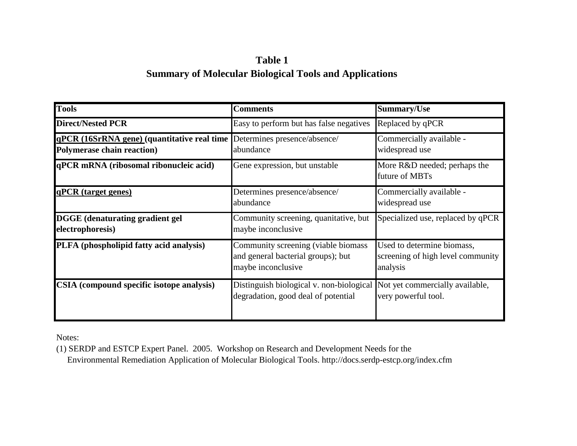# **Table 1 Summary of Molecular Biological Tools and Applications**

| <b>Tools</b>                                                                      | <b>Comments</b>                                                                                                 | <b>Summary/Use</b>                                                          |
|-----------------------------------------------------------------------------------|-----------------------------------------------------------------------------------------------------------------|-----------------------------------------------------------------------------|
| <b>Direct/Nested PCR</b>                                                          | Easy to perform but has false negatives                                                                         | Replaced by qPCR                                                            |
| qPCR (16SrRNA gene) (quantitative real time<br><b>Polymerase chain reaction</b> ) | Determines presence/absence/<br>abundance                                                                       | Commercially available -<br>widespread use                                  |
| qPCR mRNA (ribosomal ribonucleic acid)                                            | Gene expression, but unstable                                                                                   | More R&D needed; perhaps the<br>future of MBTs                              |
| qPCR (target genes)                                                               | Determines presence/absence/<br>abundance                                                                       | Commercially available -<br>widespread use                                  |
| <b>DGGE</b> (denaturating gradient gel<br>electrophoresis)                        | Community screening, quanitative, but<br>maybe inconclusive                                                     | Specialized use, replaced by qPCR                                           |
| PLFA (phospholipid fatty acid analysis)                                           | Community screening (viable biomass<br>and general bacterial groups); but<br>maybe inconclusive                 | Used to determine biomass,<br>screening of high level community<br>analysis |
| CSIA (compound specific isotope analysis)                                         | Distinguish biological v. non-biological Not yet commercially available,<br>degradation, good deal of potential | very powerful tool.                                                         |

Notes:

(1) SERDP and ESTCP Expert Panel. 2005. Workshop on Research and Development Needs for the Environmental Remediation Application of Molecular Biological Tools. http://docs.serdp-estcp.org/index.cfm